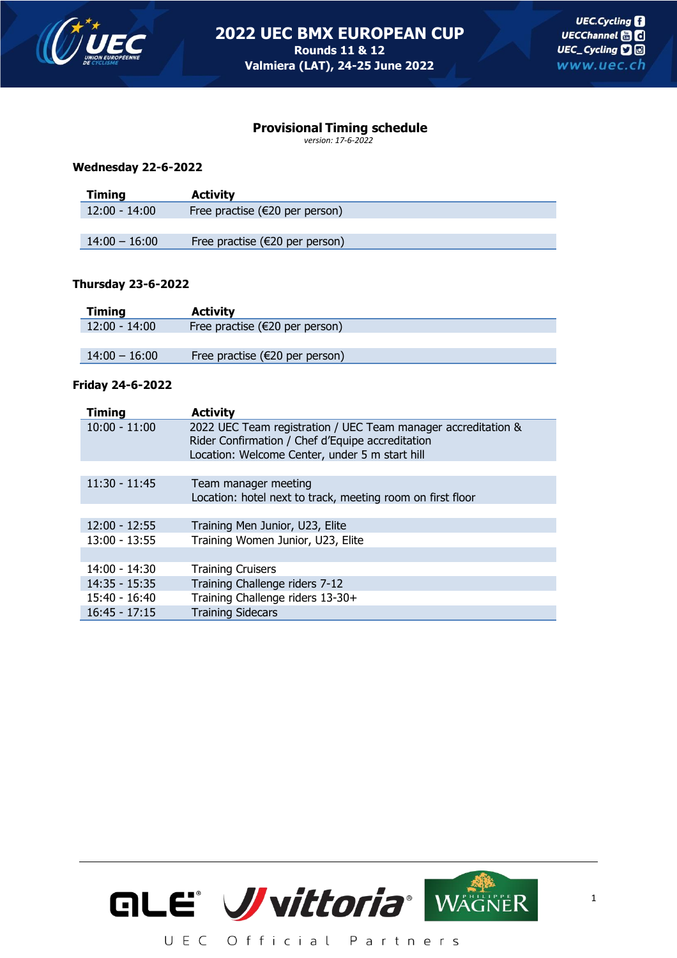

## **Provisional Timing schedule**

*version: 17-6-2022*

### **Wednesday 22-6-2022**

| <b>Timing</b>   | <b>Activity</b>                   |  |
|-----------------|-----------------------------------|--|
| $12:00 - 14:00$ | Free practise ( $E20$ per person) |  |
|                 |                                   |  |
| $14:00 - 16:00$ | Free practise ( $E20$ per person) |  |

### **Thursday 23-6-2022**

| Timing          | <b>Activity</b>                   |
|-----------------|-----------------------------------|
| $12:00 - 14:00$ | Free practise ( $E20$ per person) |
|                 |                                   |
| $14:00 - 16:00$ | Free practise ( $E20$ per person) |

### **Friday 24-6-2022**

| <b>Timing</b>   | <b>Activity</b>                                                                                                                                                     |
|-----------------|---------------------------------------------------------------------------------------------------------------------------------------------------------------------|
| $10:00 - 11:00$ | 2022 UEC Team registration / UEC Team manager accreditation &<br>Rider Confirmation / Chef d'Equipe accreditation<br>Location: Welcome Center, under 5 m start hill |
|                 |                                                                                                                                                                     |
| $11:30 - 11:45$ | Team manager meeting<br>Location: hotel next to track, meeting room on first floor                                                                                  |
|                 |                                                                                                                                                                     |
| $12:00 - 12:55$ | Training Men Junior, U23, Elite                                                                                                                                     |
| $13:00 - 13:55$ | Training Women Junior, U23, Elite                                                                                                                                   |
|                 |                                                                                                                                                                     |
| $14:00 - 14:30$ | <b>Training Cruisers</b>                                                                                                                                            |
| $14:35 - 15:35$ | Training Challenge riders 7-12                                                                                                                                      |
| 15:40 - 16:40   | Training Challenge riders 13-30+                                                                                                                                    |
| $16:45 - 17:15$ | <b>Training Sidecars</b>                                                                                                                                            |